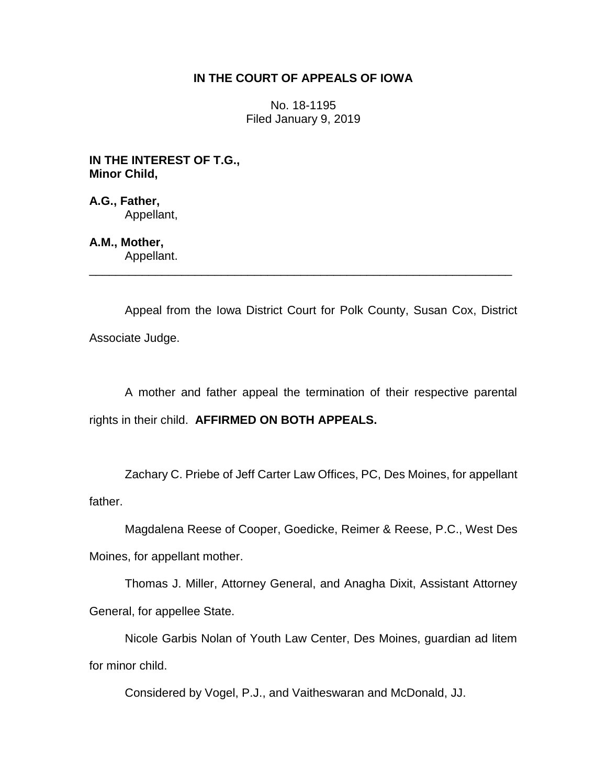## **IN THE COURT OF APPEALS OF IOWA**

No. 18-1195 Filed January 9, 2019

**IN THE INTEREST OF T.G., Minor Child,**

**A.G., Father,** Appellant,

**A.M., Mother,** Appellant.

Appeal from the Iowa District Court for Polk County, Susan Cox, District Associate Judge.

\_\_\_\_\_\_\_\_\_\_\_\_\_\_\_\_\_\_\_\_\_\_\_\_\_\_\_\_\_\_\_\_\_\_\_\_\_\_\_\_\_\_\_\_\_\_\_\_\_\_\_\_\_\_\_\_\_\_\_\_\_\_\_\_

A mother and father appeal the termination of their respective parental rights in their child. **AFFIRMED ON BOTH APPEALS.**

Zachary C. Priebe of Jeff Carter Law Offices, PC, Des Moines, for appellant father.

Magdalena Reese of Cooper, Goedicke, Reimer & Reese, P.C., West Des Moines, for appellant mother.

Thomas J. Miller, Attorney General, and Anagha Dixit, Assistant Attorney General, for appellee State.

Nicole Garbis Nolan of Youth Law Center, Des Moines, guardian ad litem for minor child.

Considered by Vogel, P.J., and Vaitheswaran and McDonald, JJ.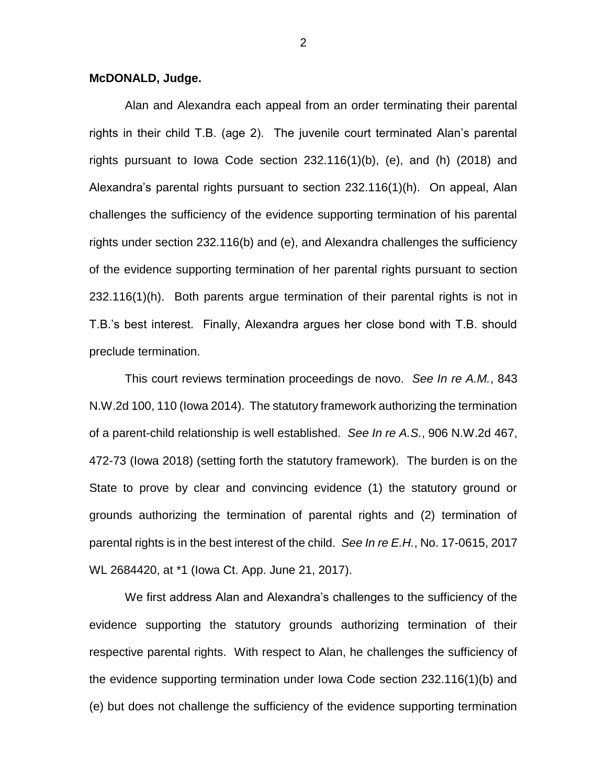## **McDONALD, Judge.**

Alan and Alexandra each appeal from an order terminating their parental rights in their child T.B. (age 2). The juvenile court terminated Alan's parental rights pursuant to Iowa Code section 232.116(1)(b), (e), and (h) (2018) and Alexandra's parental rights pursuant to section 232.116(1)(h). On appeal, Alan challenges the sufficiency of the evidence supporting termination of his parental rights under section 232.116(b) and (e), and Alexandra challenges the sufficiency of the evidence supporting termination of her parental rights pursuant to section 232.116(1)(h). Both parents argue termination of their parental rights is not in T.B.'s best interest. Finally, Alexandra argues her close bond with T.B. should preclude termination.

This court reviews termination proceedings de novo. *See In re A.M.*, 843 N.W.2d 100, 110 (Iowa 2014). The statutory framework authorizing the termination of a parent-child relationship is well established. *See In re A.S.*, 906 N.W.2d 467, 472-73 (Iowa 2018) (setting forth the statutory framework). The burden is on the State to prove by clear and convincing evidence (1) the statutory ground or grounds authorizing the termination of parental rights and (2) termination of parental rights is in the best interest of the child. *See In re E.H.*, No. 17-0615, 2017 WL 2684420, at \*1 (Iowa Ct. App. June 21, 2017).

We first address Alan and Alexandra's challenges to the sufficiency of the evidence supporting the statutory grounds authorizing termination of their respective parental rights. With respect to Alan, he challenges the sufficiency of the evidence supporting termination under Iowa Code section 232.116(1)(b) and (e) but does not challenge the sufficiency of the evidence supporting termination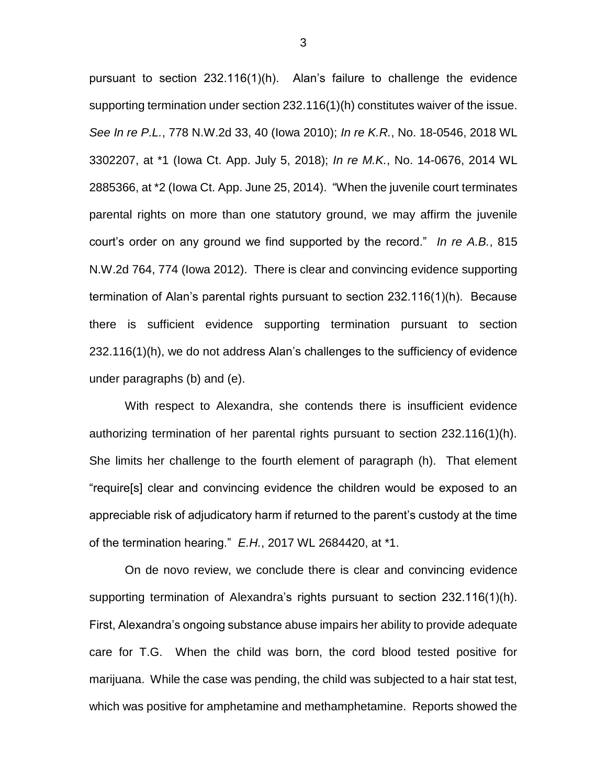pursuant to section 232.116(1)(h). Alan's failure to challenge the evidence supporting termination under section 232.116(1)(h) constitutes waiver of the issue. *See In re P.L.*, 778 N.W.2d 33, 40 (Iowa 2010); *In re K.R.*, No. 18-0546, 2018 WL 3302207, at \*1 (Iowa Ct. App. July 5, 2018); *In re M.K.*, No. 14-0676, 2014 WL 2885366, at \*2 (Iowa Ct. App. June 25, 2014). "When the juvenile court terminates parental rights on more than one statutory ground, we may affirm the juvenile court's order on any ground we find supported by the record." *In re A.B.*, 815 N.W.2d 764, 774 (Iowa 2012). There is clear and convincing evidence supporting termination of Alan's parental rights pursuant to section 232.116(1)(h). Because there is sufficient evidence supporting termination pursuant to section 232.116(1)(h), we do not address Alan's challenges to the sufficiency of evidence under paragraphs (b) and (e).

With respect to Alexandra, she contends there is insufficient evidence authorizing termination of her parental rights pursuant to section 232.116(1)(h). She limits her challenge to the fourth element of paragraph (h). That element "require[s] clear and convincing evidence the children would be exposed to an appreciable risk of adjudicatory harm if returned to the parent's custody at the time of the termination hearing." *E.H.*, 2017 WL 2684420, at \*1.

On de novo review, we conclude there is clear and convincing evidence supporting termination of Alexandra's rights pursuant to section 232.116(1)(h). First, Alexandra's ongoing substance abuse impairs her ability to provide adequate care for T.G. When the child was born, the cord blood tested positive for marijuana. While the case was pending, the child was subjected to a hair stat test, which was positive for amphetamine and methamphetamine. Reports showed the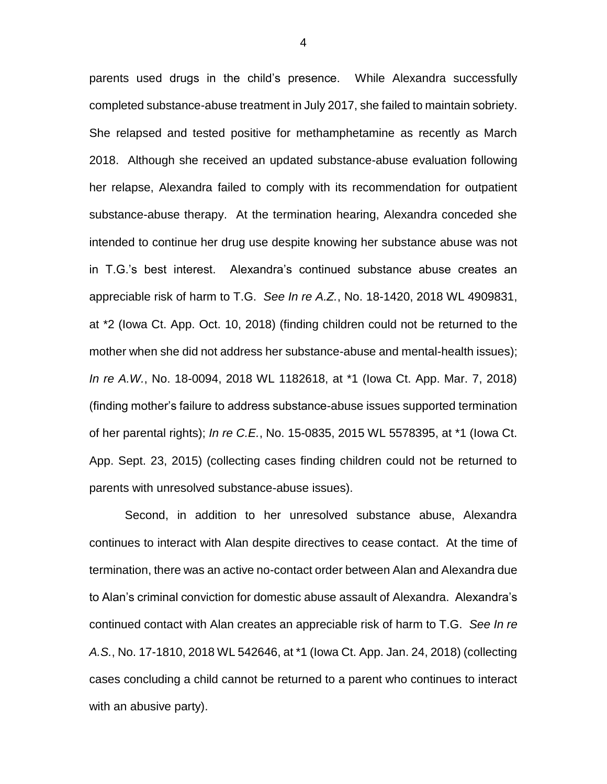parents used drugs in the child's presence. While Alexandra successfully completed substance-abuse treatment in July 2017, she failed to maintain sobriety. She relapsed and tested positive for methamphetamine as recently as March 2018. Although she received an updated substance-abuse evaluation following her relapse, Alexandra failed to comply with its recommendation for outpatient substance-abuse therapy. At the termination hearing, Alexandra conceded she intended to continue her drug use despite knowing her substance abuse was not in T.G.'s best interest. Alexandra's continued substance abuse creates an appreciable risk of harm to T.G. *See In re A.Z.*, No. 18-1420, 2018 WL 4909831, at \*2 (Iowa Ct. App. Oct. 10, 2018) (finding children could not be returned to the mother when she did not address her substance-abuse and mental-health issues); *In re A.W.*, No. 18-0094, 2018 WL 1182618, at \*1 (Iowa Ct. App. Mar. 7, 2018) (finding mother's failure to address substance-abuse issues supported termination of her parental rights); *In re C.E.*, No. 15-0835, 2015 WL 5578395, at \*1 (Iowa Ct. App. Sept. 23, 2015) (collecting cases finding children could not be returned to parents with unresolved substance-abuse issues).

Second, in addition to her unresolved substance abuse, Alexandra continues to interact with Alan despite directives to cease contact. At the time of termination, there was an active no-contact order between Alan and Alexandra due to Alan's criminal conviction for domestic abuse assault of Alexandra. Alexandra's continued contact with Alan creates an appreciable risk of harm to T.G. *See In re A.S.*, No. 17-1810, 2018 WL 542646, at \*1 (Iowa Ct. App. Jan. 24, 2018) (collecting cases concluding a child cannot be returned to a parent who continues to interact with an abusive party).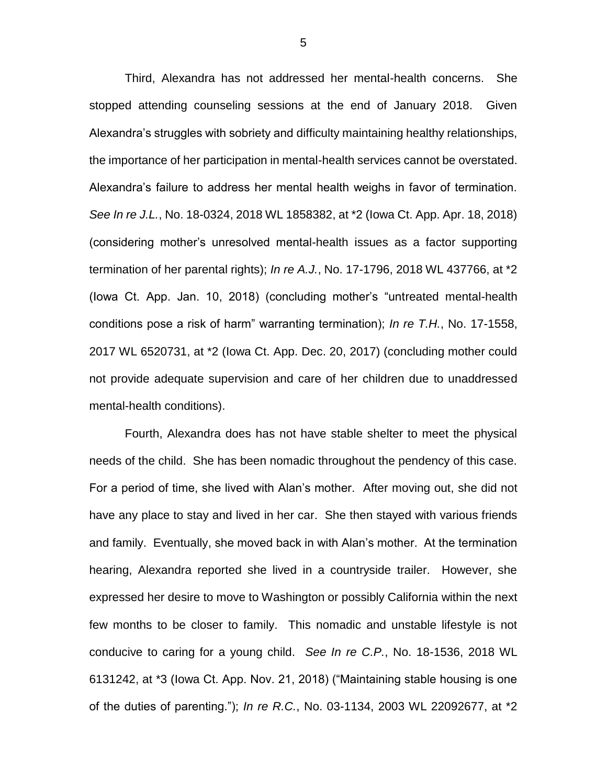Third, Alexandra has not addressed her mental-health concerns. She stopped attending counseling sessions at the end of January 2018. Given Alexandra's struggles with sobriety and difficulty maintaining healthy relationships, the importance of her participation in mental-health services cannot be overstated. Alexandra's failure to address her mental health weighs in favor of termination. *See In re J.L.*, No. 18-0324, 2018 WL 1858382, at \*2 (Iowa Ct. App. Apr. 18, 2018) (considering mother's unresolved mental-health issues as a factor supporting termination of her parental rights); *In re A.J.*, No. 17-1796, 2018 WL 437766, at \*2 (Iowa Ct. App. Jan. 10, 2018) (concluding mother's "untreated mental-health conditions pose a risk of harm" warranting termination); *In re T.H.*, No. 17-1558, 2017 WL 6520731, at \*2 (Iowa Ct. App. Dec. 20, 2017) (concluding mother could not provide adequate supervision and care of her children due to unaddressed mental-health conditions).

Fourth, Alexandra does has not have stable shelter to meet the physical needs of the child. She has been nomadic throughout the pendency of this case. For a period of time, she lived with Alan's mother. After moving out, she did not have any place to stay and lived in her car. She then stayed with various friends and family. Eventually, she moved back in with Alan's mother. At the termination hearing, Alexandra reported she lived in a countryside trailer. However, she expressed her desire to move to Washington or possibly California within the next few months to be closer to family. This nomadic and unstable lifestyle is not conducive to caring for a young child. *See In re C.P.*, No. 18-1536, 2018 WL 6131242, at \*3 (Iowa Ct. App. Nov. 21, 2018) ("Maintaining stable housing is one of the duties of parenting."); *In re R.C.*, No. 03-1134, 2003 WL 22092677, at \*2

5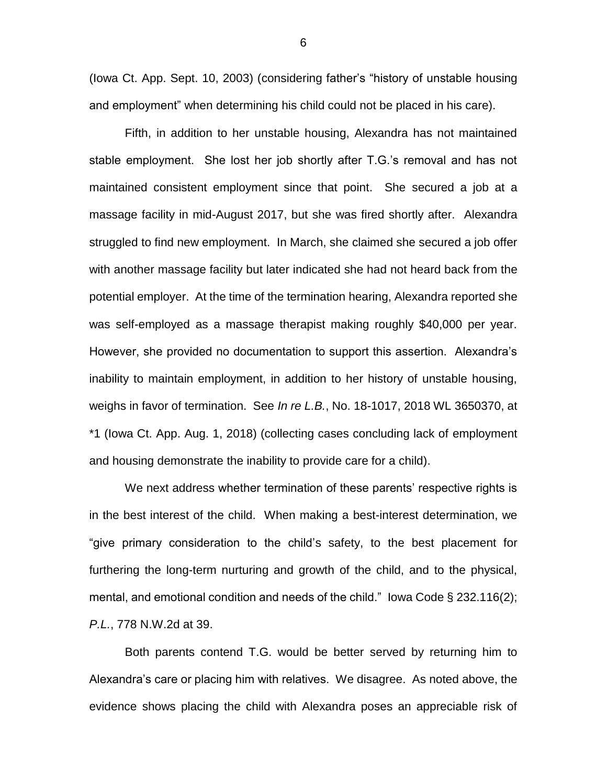(Iowa Ct. App. Sept. 10, 2003) (considering father's "history of unstable housing and employment" when determining his child could not be placed in his care).

Fifth, in addition to her unstable housing, Alexandra has not maintained stable employment. She lost her job shortly after T.G.'s removal and has not maintained consistent employment since that point. She secured a job at a massage facility in mid-August 2017, but she was fired shortly after. Alexandra struggled to find new employment. In March, she claimed she secured a job offer with another massage facility but later indicated she had not heard back from the potential employer. At the time of the termination hearing, Alexandra reported she was self-employed as a massage therapist making roughly \$40,000 per year. However, she provided no documentation to support this assertion. Alexandra's inability to maintain employment, in addition to her history of unstable housing, weighs in favor of termination. See *In re L.B.*, No. 18-1017, 2018 WL 3650370, at \*1 (Iowa Ct. App. Aug. 1, 2018) (collecting cases concluding lack of employment and housing demonstrate the inability to provide care for a child).

We next address whether termination of these parents' respective rights is in the best interest of the child. When making a best-interest determination, we "give primary consideration to the child's safety, to the best placement for furthering the long-term nurturing and growth of the child, and to the physical, mental, and emotional condition and needs of the child." Iowa Code § 232.116(2); *P.L.*, 778 N.W.2d at 39.

Both parents contend T.G. would be better served by returning him to Alexandra's care or placing him with relatives. We disagree. As noted above, the evidence shows placing the child with Alexandra poses an appreciable risk of

6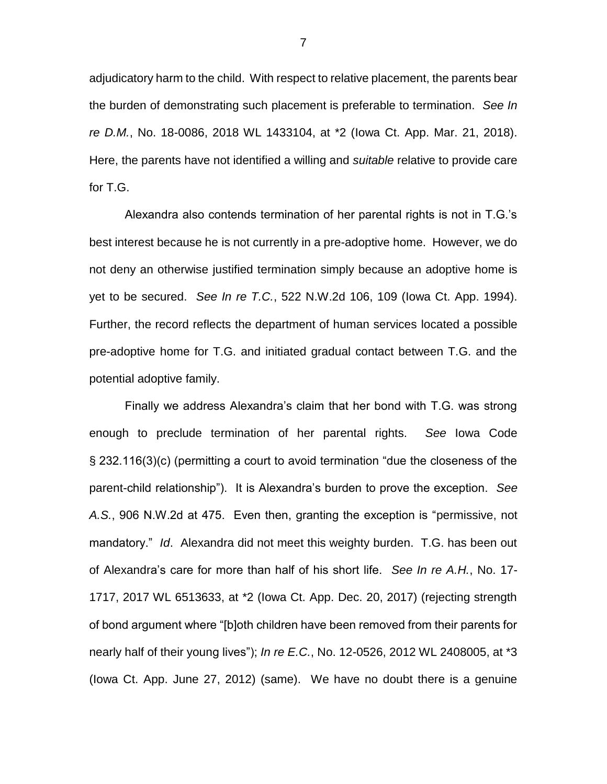adjudicatory harm to the child. With respect to relative placement, the parents bear the burden of demonstrating such placement is preferable to termination. *See In re D.M.*, No. 18-0086, 2018 WL 1433104, at \*2 (Iowa Ct. App. Mar. 21, 2018). Here, the parents have not identified a willing and *suitable* relative to provide care for T.G.

Alexandra also contends termination of her parental rights is not in T.G.'s best interest because he is not currently in a pre-adoptive home. However, we do not deny an otherwise justified termination simply because an adoptive home is yet to be secured. *See In re T.C.*, 522 N.W.2d 106, 109 (Iowa Ct. App. 1994). Further, the record reflects the department of human services located a possible pre-adoptive home for T.G. and initiated gradual contact between T.G. and the potential adoptive family.

Finally we address Alexandra's claim that her bond with T.G. was strong enough to preclude termination of her parental rights. *See* Iowa Code § 232.116(3)(c) (permitting a court to avoid termination "due the closeness of the parent-child relationship"). It is Alexandra's burden to prove the exception. *See A.S.*, 906 N.W.2d at 475. Even then, granting the exception is "permissive, not mandatory." *Id*. Alexandra did not meet this weighty burden. T.G. has been out of Alexandra's care for more than half of his short life. *See In re A.H.*, No. 17- 1717, 2017 WL 6513633, at \*2 (Iowa Ct. App. Dec. 20, 2017) (rejecting strength of bond argument where "[b]oth children have been removed from their parents for nearly half of their young lives"); *In re E.C.*, No. 12-0526, 2012 WL 2408005, at \*3 (Iowa Ct. App. June 27, 2012) (same). We have no doubt there is a genuine